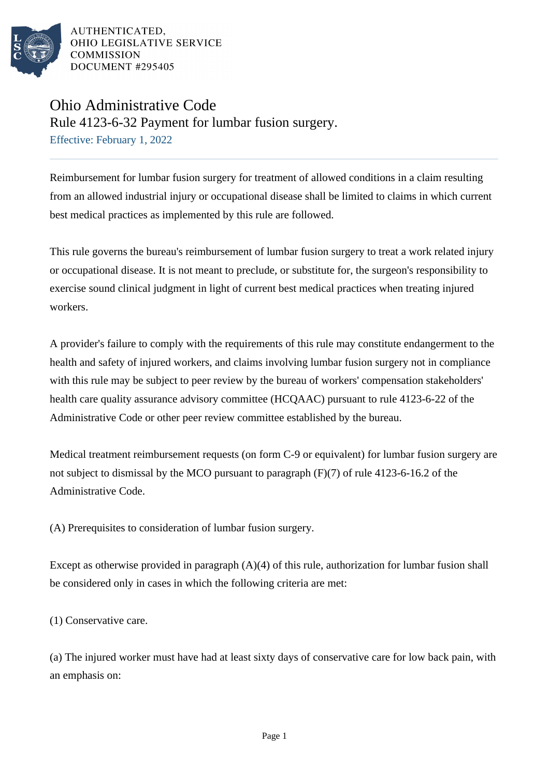

## Ohio Administrative Code

Rule 4123-6-32 Payment for lumbar fusion surgery.

Effective: February 1, 2022

Reimbursement for lumbar fusion surgery for treatment of allowed conditions in a claim resulting from an allowed industrial injury or occupational disease shall be limited to claims in which current best medical practices as implemented by this rule are followed.

This rule governs the bureau's reimbursement of lumbar fusion surgery to treat a work related injury or occupational disease. It is not meant to preclude, or substitute for, the surgeon's responsibility to exercise sound clinical judgment in light of current best medical practices when treating injured workers.

A provider's failure to comply with the requirements of this rule may constitute endangerment to the health and safety of injured workers, and claims involving lumbar fusion surgery not in compliance with this rule may be subject to peer review by the bureau of workers' compensation stakeholders' health care quality assurance advisory committee (HCQAAC) pursuant to rule 4123-6-22 of the Administrative Code or other peer review committee established by the bureau.

Medical treatment reimbursement requests (on form C-9 or equivalent) for lumbar fusion surgery are not subject to dismissal by the MCO pursuant to paragraph  $(F)(7)$  of rule 4123-6-16.2 of the Administrative Code.

(A) Prerequisites to consideration of lumbar fusion surgery.

Except as otherwise provided in paragraph (A)(4) of this rule, authorization for lumbar fusion shall be considered only in cases in which the following criteria are met:

(1) Conservative care.

(a) The injured worker must have had at least sixty days of conservative care for low back pain, with an emphasis on: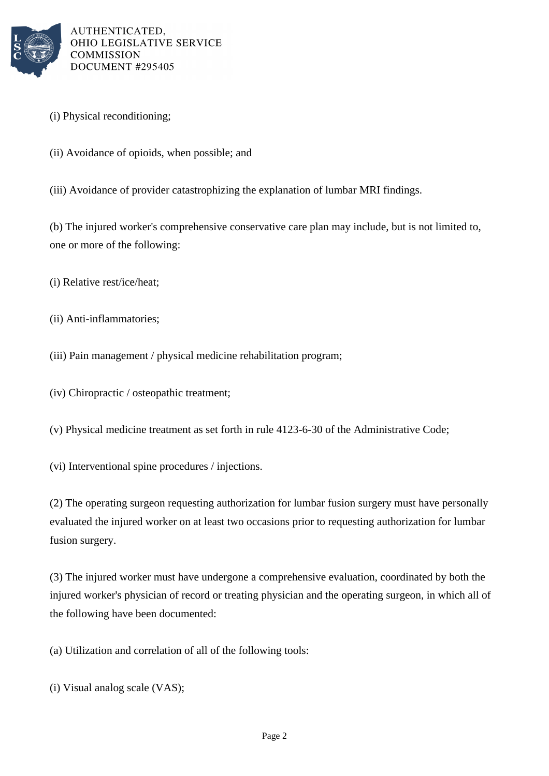

- (i) Physical reconditioning;
- (ii) Avoidance of opioids, when possible; and
- (iii) Avoidance of provider catastrophizing the explanation of lumbar MRI findings.

(b) The injured worker's comprehensive conservative care plan may include, but is not limited to, one or more of the following:

- (i) Relative rest/ice/heat;
- (ii) Anti-inflammatories;
- (iii) Pain management / physical medicine rehabilitation program;
- (iv) Chiropractic / osteopathic treatment;
- (v) Physical medicine treatment as set forth in rule 4123-6-30 of the Administrative Code;
- (vi) Interventional spine procedures / injections.

(2) The operating surgeon requesting authorization for lumbar fusion surgery must have personally evaluated the injured worker on at least two occasions prior to requesting authorization for lumbar fusion surgery.

(3) The injured worker must have undergone a comprehensive evaluation, coordinated by both the injured worker's physician of record or treating physician and the operating surgeon, in which all of the following have been documented:

(a) Utilization and correlation of all of the following tools:

(i) Visual analog scale (VAS);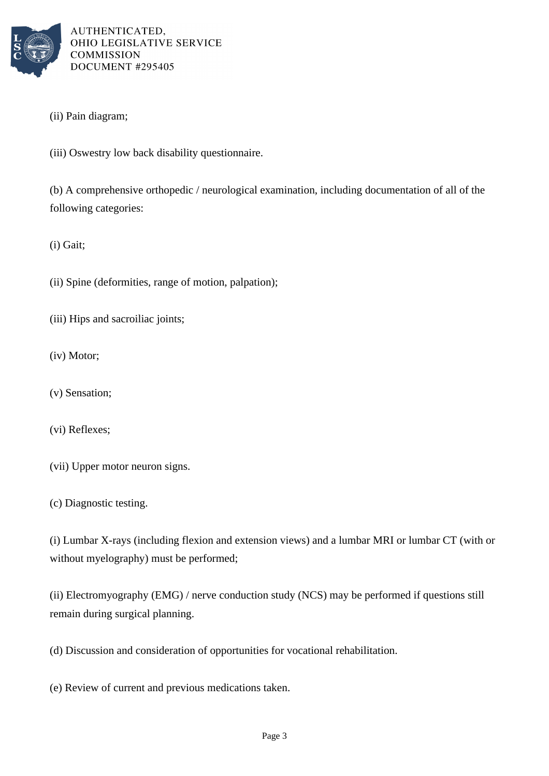

- (ii) Pain diagram;
- (iii) Oswestry low back disability questionnaire.

(b) A comprehensive orthopedic / neurological examination, including documentation of all of the following categories:

(i) Gait;

- (ii) Spine (deformities, range of motion, palpation);
- (iii) Hips and sacroiliac joints;
- (iv) Motor;
- (v) Sensation;
- (vi) Reflexes;
- (vii) Upper motor neuron signs.
- (c) Diagnostic testing.

(i) Lumbar X-rays (including flexion and extension views) and a lumbar MRI or lumbar CT (with or without myelography) must be performed;

(ii) Electromyography (EMG) / nerve conduction study (NCS) may be performed if questions still remain during surgical planning.

(d) Discussion and consideration of opportunities for vocational rehabilitation.

(e) Review of current and previous medications taken.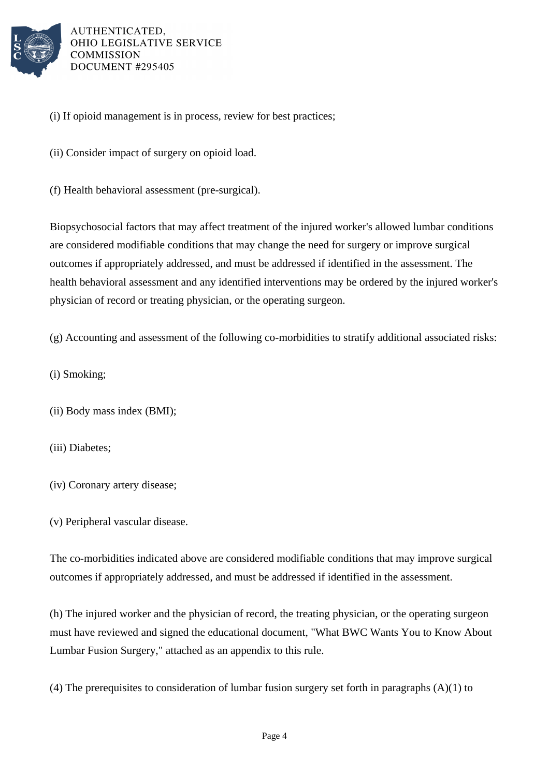

(i) If opioid management is in process, review for best practices;

(ii) Consider impact of surgery on opioid load.

(f) Health behavioral assessment (pre-surgical).

Biopsychosocial factors that may affect treatment of the injured worker's allowed lumbar conditions are considered modifiable conditions that may change the need for surgery or improve surgical outcomes if appropriately addressed, and must be addressed if identified in the assessment. The health behavioral assessment and any identified interventions may be ordered by the injured worker's physician of record or treating physician, or the operating surgeon.

(g) Accounting and assessment of the following co-morbidities to stratify additional associated risks:

- (i) Smoking;
- (ii) Body mass index (BMI);
- (iii) Diabetes;
- (iv) Coronary artery disease;
- (v) Peripheral vascular disease.

The co-morbidities indicated above are considered modifiable conditions that may improve surgical outcomes if appropriately addressed, and must be addressed if identified in the assessment.

(h) The injured worker and the physician of record, the treating physician, or the operating surgeon must have reviewed and signed the educational document, "What BWC Wants You to Know About Lumbar Fusion Surgery," attached as an appendix to this rule.

(4) The prerequisites to consideration of lumbar fusion surgery set forth in paragraphs (A)(1) to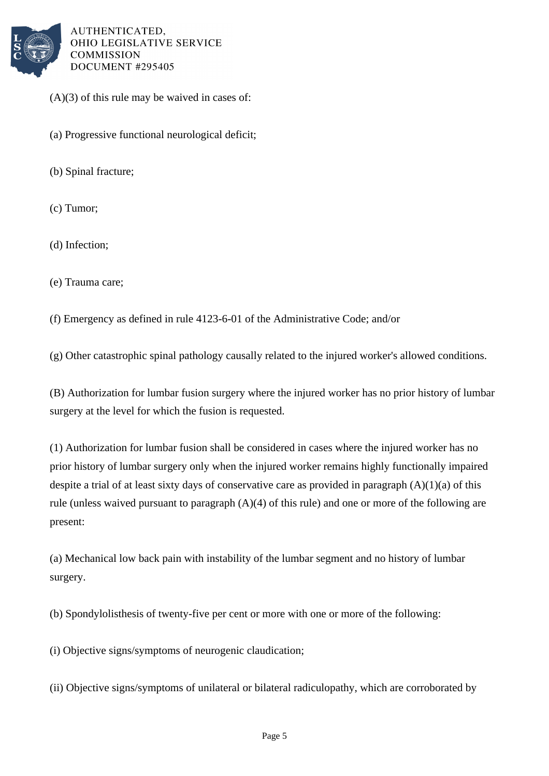

 $(A)(3)$  of this rule may be waived in cases of:

(a) Progressive functional neurological deficit;

(b) Spinal fracture;

(c) Tumor;

(d) Infection;

(e) Trauma care;

(f) Emergency as defined in rule 4123-6-01 of the Administrative Code; and/or

(g) Other catastrophic spinal pathology causally related to the injured worker's allowed conditions.

(B) Authorization for lumbar fusion surgery where the injured worker has no prior history of lumbar surgery at the level for which the fusion is requested.

(1) Authorization for lumbar fusion shall be considered in cases where the injured worker has no prior history of lumbar surgery only when the injured worker remains highly functionally impaired despite a trial of at least sixty days of conservative care as provided in paragraph (A)(1)(a) of this rule (unless waived pursuant to paragraph (A)(4) of this rule) and one or more of the following are present:

(a) Mechanical low back pain with instability of the lumbar segment and no history of lumbar surgery.

(b) Spondylolisthesis of twenty-five per cent or more with one or more of the following:

(i) Objective signs/symptoms of neurogenic claudication;

(ii) Objective signs/symptoms of unilateral or bilateral radiculopathy, which are corroborated by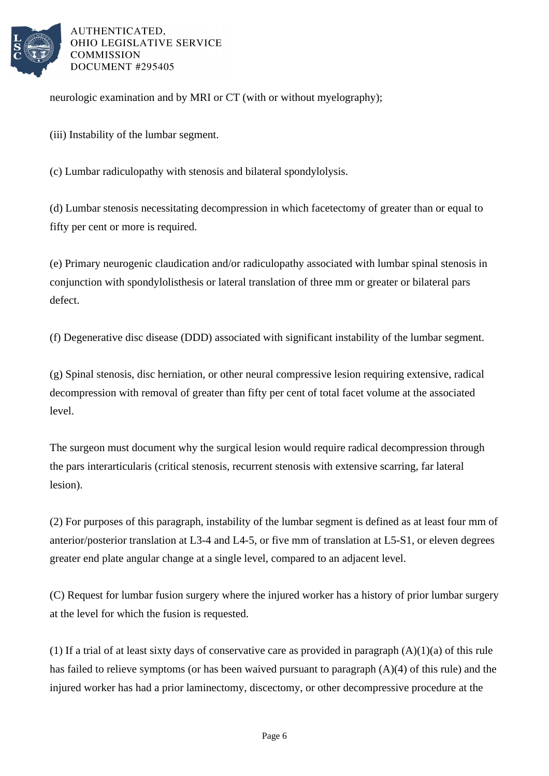

neurologic examination and by MRI or CT (with or without myelography);

(iii) Instability of the lumbar segment.

(c) Lumbar radiculopathy with stenosis and bilateral spondylolysis.

(d) Lumbar stenosis necessitating decompression in which facetectomy of greater than or equal to fifty per cent or more is required.

(e) Primary neurogenic claudication and/or radiculopathy associated with lumbar spinal stenosis in conjunction with spondylolisthesis or lateral translation of three mm or greater or bilateral pars defect.

(f) Degenerative disc disease (DDD) associated with significant instability of the lumbar segment.

(g) Spinal stenosis, disc herniation, or other neural compressive lesion requiring extensive, radical decompression with removal of greater than fifty per cent of total facet volume at the associated level.

The surgeon must document why the surgical lesion would require radical decompression through the pars interarticularis (critical stenosis, recurrent stenosis with extensive scarring, far lateral lesion).

(2) For purposes of this paragraph, instability of the lumbar segment is defined as at least four mm of anterior/posterior translation at L3-4 and L4-5, or five mm of translation at L5-S1, or eleven degrees greater end plate angular change at a single level, compared to an adjacent level.

(C) Request for lumbar fusion surgery where the injured worker has a history of prior lumbar surgery at the level for which the fusion is requested.

(1) If a trial of at least sixty days of conservative care as provided in paragraph  $(A)(1)(a)$  of this rule has failed to relieve symptoms (or has been waived pursuant to paragraph (A)(4) of this rule) and the injured worker has had a prior laminectomy, discectomy, or other decompressive procedure at the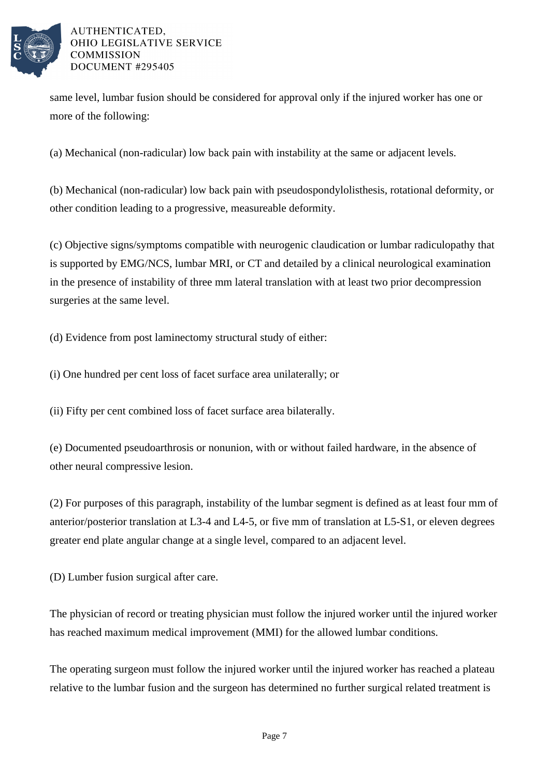

same level, lumbar fusion should be considered for approval only if the injured worker has one or more of the following:

(a) Mechanical (non-radicular) low back pain with instability at the same or adjacent levels.

(b) Mechanical (non-radicular) low back pain with pseudospondylolisthesis, rotational deformity, or other condition leading to a progressive, measureable deformity.

(c) Objective signs/symptoms compatible with neurogenic claudication or lumbar radiculopathy that is supported by EMG/NCS, lumbar MRI, or CT and detailed by a clinical neurological examination in the presence of instability of three mm lateral translation with at least two prior decompression surgeries at the same level.

(d) Evidence from post laminectomy structural study of either:

(i) One hundred per cent loss of facet surface area unilaterally; or

(ii) Fifty per cent combined loss of facet surface area bilaterally.

(e) Documented pseudoarthrosis or nonunion, with or without failed hardware, in the absence of other neural compressive lesion.

(2) For purposes of this paragraph, instability of the lumbar segment is defined as at least four mm of anterior/posterior translation at L3-4 and L4-5, or five mm of translation at L5-S1, or eleven degrees greater end plate angular change at a single level, compared to an adjacent level.

(D) Lumber fusion surgical after care.

The physician of record or treating physician must follow the injured worker until the injured worker has reached maximum medical improvement (MMI) for the allowed lumbar conditions.

The operating surgeon must follow the injured worker until the injured worker has reached a plateau relative to the lumbar fusion and the surgeon has determined no further surgical related treatment is